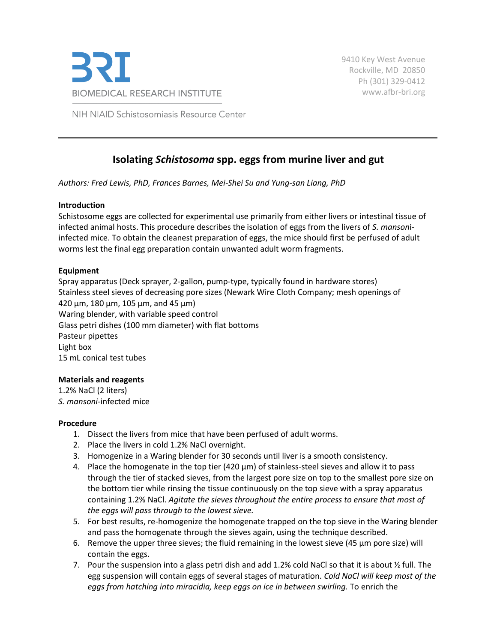

NIH NIAID Schistosomiasis Resource Center

# **Isolating** *Schistosoma* **spp. eggs from murine liver and gut**

*Authors: Fred Lewis, PhD, Frances Barnes, Mei-Shei Su and Yung-san Liang, PhD*

## **Introduction**

Schistosome eggs are collected for experimental use primarily from either livers or intestinal tissue of infected animal hosts. This procedure describes the isolation of eggs from the livers of *S. manson*iinfected mice. To obtain the cleanest preparation of eggs, the mice should first be perfused of adult worms lest the final egg preparation contain unwanted adult worm fragments.

### **Equipment**

Spray apparatus (Deck sprayer, 2-gallon, pump-type, typically found in hardware stores) Stainless steel sieves of decreasing pore sizes (Newark Wire Cloth Company; mesh openings of 420 µm, 180 µm, 105 µm, and 45 µm) Waring blender, with variable speed control Glass petri dishes (100 mm diameter) with flat bottoms Pasteur pipettes Light box 15 mL conical test tubes

## **Materials and reagents**

1.2% NaCl (2 liters) *S. mansoni*-infected mice

## **Procedure**

- 1. Dissect the livers from mice that have been perfused of adult worms.
- 2. Place the livers in cold 1.2% NaCl overnight.
- 3. Homogenize in a Waring blender for 30 seconds until liver is a smooth consistency.
- 4. Place the homogenate in the top tier (420 µm) of stainless-steel sieves and allow it to pass through the tier of stacked sieves, from the largest pore size on top to the smallest pore size on the bottom tier while rinsing the tissue continuously on the top sieve with a spray apparatus containing 1.2% NaCl. *Agitate the sieves throughout the entire process to ensure that most of the eggs will pass through to the lowest sieve.*
- 5. For best results, re-homogenize the homogenate trapped on the top sieve in the Waring blender and pass the homogenate through the sieves again, using the technique described.
- 6. Remove the upper three sieves; the fluid remaining in the lowest sieve (45  $\mu$ m pore size) will contain the eggs.
- 7. Pour the suspension into a glass petri dish and add 1.2% cold NaCl so that it is about ½ full. The egg suspension will contain eggs of several stages of maturation. *Cold NaCl will keep most of the*  eggs from hatching into miracidia, keep eggs on ice in between swirling. To enrich the